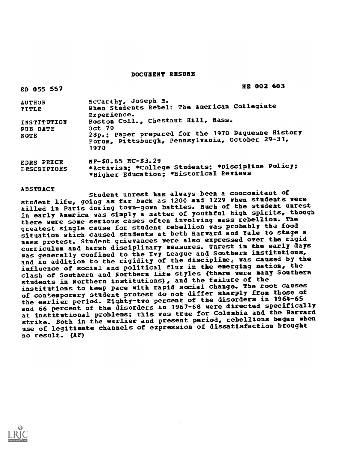DOCUMENT RESUME

| ED 055 557                             | HE 002 603                                                                                                                                                           |
|----------------------------------------|----------------------------------------------------------------------------------------------------------------------------------------------------------------------|
| <b>AUTHOR</b><br>TITLE                 | McCarthy, Joseph M.<br>When Students Rebel: The American Collegiate<br>Experience.                                                                                   |
| INSTITUTION<br>PUB DATE<br><b>NOTE</b> | Boston Coll., Chestnut Hill, Mass.<br><b>Oct 70</b><br>28p.; Paper prepared for the 1970 Duquesne History<br>Forum, Pittsburgh, Pennsylvania, October 29-31,<br>1970 |
| EDRS PRICE<br><b>DESCRIPTORS</b>       | NF-\$0.65 HC-\$3.29<br>*Activism; *College Students; *Discipline Policy;<br>*Higher Education: *Historical Reviews                                                   |

#### ABSTRACT

Student unrest has always been a concomitant of student life, going as far back as 1200 and 1229 when students were killed in Paris during town-gown battles. Much of the stadent unrest in early America was simply a matter of youthful high spirits, though there were some serious cases often involving mass rebellion. The greatest single cause for student rebellion was probably the food situation which caused students at both Harvard and Yale to stage a mass protest. Student grievances were also expressed over the rigid curriculum and harsh disciplinary measures. Unrest in the early days was generally confined to the Ivy League and Southern institutions, and in addition to the rigidity of the discipline, was caused by the influence of social and political flux in the emerging nation, the clash of Southern and Northern life styles (there were many Southern students in Northern institutions), and the failure of the institutions to keep pace with rapid social change. The root causes of contemporary student protest do not differ sharply from those of the earlier period. Eighty-two percent of the disorders in 1964-65 and 66 percent of the disorders in 1967-68 were directed specifically at institutional problems; this was true for Columbia and the Harvard strike. Both in the earlier and present period, rebellions began when use of legitimate channels of expression of dissatisfaction brought no result. (AF)

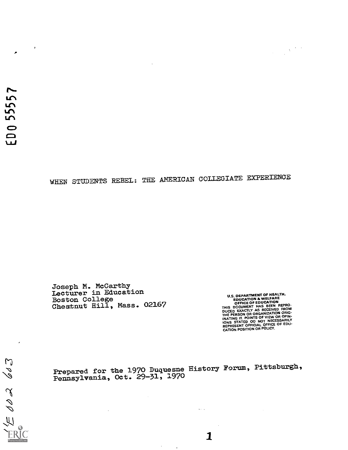$\mathfrak{S}$ 

 $0026$ 

 $\overline{\mu}$ 

# WHEN STUDENTS REBEL: THE AMERICAN COLLEGIATE EXPERIENCE

Joseph M. McCarthy lecturer in Education Boston College Chestnut Hill, Mass. 02167

U.S. DEPARTMENT OF HEALING<br>
EDUCATION & WELFARE<br>
CFFICE OF EDUCATION<br>
THIS DCCUMENT HAS BEEN REPRO-<br>
DUCED EXACTLY AS RECEIVED FROM<br>
DUCED EXACTLY AS RECEIVED FROM<br>
INATING IT. POINTS OF VIEW OR OPIN-<br>
IONS STATED OC NOT N

Prepared for the 1970 Duquesne History Forum, Pittsburgh, Pennsylvania, Oct. 29-31, 1970

 $\bar{z}$ 

 $\Delta\sim 10^4$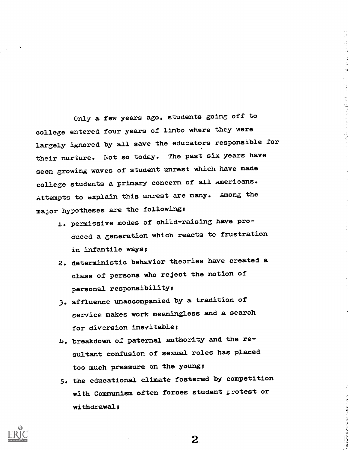Only a few years ago, students going off to college entered four years of limbo where they were largely ignored by all save the educators responsible for their nurture. Not so today. The past six years have seen growing waves of student unrest which have made college students a primary concern of all Americans. Attempts to explain this unrest are many. Among the major hypotheses are the followings

医中国性脊髓膜炎 医软骨的

- 1. permissive modes of child-raising have produced a generation which reacts tc frustration in infantile ways;
- 2. deterministic behavior theories have created a class of persons who reject the notion of personal responsibility;
- 3. affluence unaccompanied by a tradition of service makes work meaningless and a search for diversion inevitable;
- 4. breakdown of paternal authority and the resultant confusion of sexual roles has placed too much pressure on the young;
- 5. the educational climate fostered by competition with Communism often forces student protest or withdrawal;



 $\bf{2}$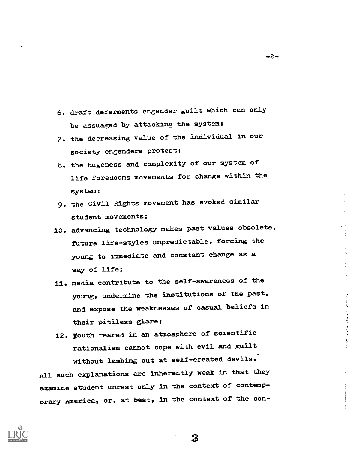- 6. draft deferments engender guilt which can only be assuaged by attacking the system;
- 7. the decreasing value of the individual in our society engenders protest;
- 8. the hugeness and complexity of our system of life foredooms movements for change within the system;
- 9. the Civil Rights movement has evoked similar student movements;
- 10. advancing technology makes pact values obsolete, future life-styles unpredictable, forcing the young to Immediate and constant change as a way of life;
- 11. media contribute to the self-awareness of the young, undermine the institutions of the past, and expose the weaknesses of casual beliefs in their pitiless glare;
- 12. youth reared in an atmosphere of scientific rationalism cannot cope with evil and guilt without lashing out at self-created devils.<sup>1</sup>

All such explanations are Inherently weak in that they examine student unrest only in the context of contemporary America, or, at best, in the context of the con-



-2-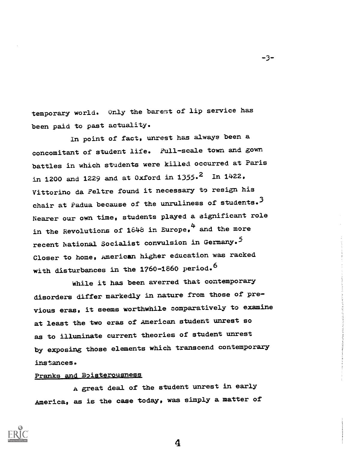temporary world. Only the barest of lip service has been paid to past actuality.

-3-

In point of fact, unrest has always been a concomitant of student life. Full-scale town and gown battles in which students were killed occurred at Paris in 1200 and 1229 and at 0xford in 1355.<sup>2</sup> In 1422, Vittorino da Feltre found it necessary to resign his chair at Padua because of the unruliness of students.<sup>3</sup> Nearer our own time, students played a significant role in the Revolutions of 1848 in Europe,<sup>4</sup> and the more recent National Socialist convulsion in Germany.<sup>5</sup> Closer to home, American higher education was racked with disturbances in the 1760-1860 period.<sup>6</sup>

While it has been averred that contemporary disorders differ markedly in nature from those of previous eras, it seems worthwhile comparatively to examine at least the two eras of American student unrest so as to illuminate current theories of student unrest by exposing those elements which transcend contemporary Instances.

## Pranks and Boisterousness

A great deal of the student unrest in early America, as is the case today, was simply a matter of

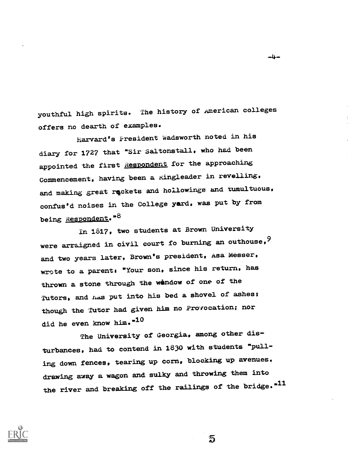youthful high spirits. The history of American colleges offers no dearth of examples.

harvard's President Wadsworth noted in his diary for 1727 that "Sir Saltonstall, who had been appointed the first Respondent for the approaching Commencement, having been a xingleader in revelling, and making great reckets and hollowinge and tumultuous, confus'd noises in the College yard, was put by from being Respondent."8

In 1817, two students at Brown University were arraigned in civil court fo burning an outhouse,  $9$ and two years later, Brown's president, Asa Messer, wrote to a parent; "Your son, since his return, has thrown a stone through the wendow of one of the Tutors, and has put into his bed a shovel of ashes; though the Tutor had given him no Provocation; nor did he even know him."10

The University of Georgia, among other disturbances, had to contend in 1830 with students "pulling down fences, tearing up corn, blocking up avenues, drawing away a wagon and sulky and throwing them into the river and breaking off the railings of the bridge.<sup>11</sup>

 $\overline{5}$ 



 $-4-$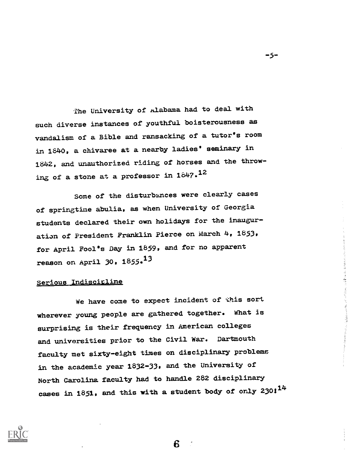The University of Alabama had to deal with such diverse instances of youthful boisterousness as vandalism of a Bible and ransacking of a tutor's room in 1840, a chivaree at a nearby ladies' seminary in 1842, and unauthorized riding of horses and the throwing of a stone at a professor in  $1647.12$ 

Some of the disturbances were clearly cases of springtime abulia, as when University of Georgia students declared their own holidays for the inauguration of President Franklin Pierce on March 4, 1853, for April Fool's Day in 1859, and for no apparent reason on April 30, 1855.<sup>13</sup>

## Serious Indiscipline

We have come to expect incident of this sort wherever young people are gathered together. What is surprising is their frequency in American colleges and universities prior to the Civil War. Dartmouth faculty met sixty-eight times on disciplinary problems in the academic year 1832-33, and the University of North Carolina faculty had to handle 282 disciplinary cases in 1851, and this with a student body of only 230: $^{14}$ 



-5-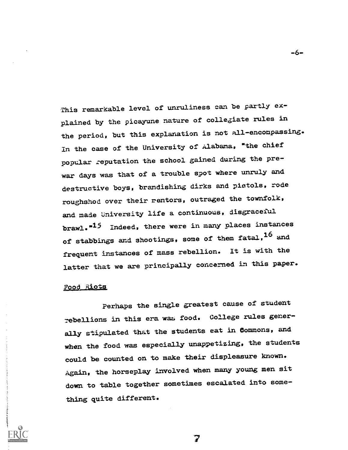This remarkable level of unruliness can be partly explained by the picayune nature of collegiate rules in the period, but this explanation is not all-encompassing. In the case of the University of Alabama, "the chief popular zeputation the school gained during the prewar days was that of a trouble spot where unruly and destructive boys, brandishing dirks and pistols, rode roughshod over their rentors, outraged the townfolk, and made University life a continuous, disgraceful brawl.<sup>"15</sup> Indeed, there were in many places instances of stabbings and shootings, some of them fatal, 16 and frequent instances of mass rebellion. It is with the latter that we are principally concerned in this paper.

#### Food Riots

Perhaps the single greatest cause of student Tebellions in this era wax, food. College rules generally stipulated that the students eat in Commons, and when the food was especially unappetizing, the students could be counted on to make their displeasure known. Again, the horseplay involved when many young men sit down to table together sometimes escalated into something quite different.

7

-6-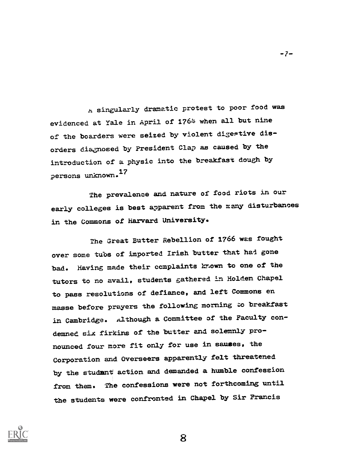A singularly dramatic protest to poor food was evidenced at Yale in April of 1764 when all but nine of the boarders were seized by violent digestive disorders diagnosed by President Clap as caused by the introduction of a physic into the breakfast dough by persons unknown. <sup>17</sup>

The prevalence and nature of food riots in our early colleges is best apparent from the many disturbances in the Commons of Harvard University.

The Great Butter Rebellion of 1766 was fought over some tubs of imported Irish butter that hal gone bad. Having made their complaints known to one of the tutors to no avail, students gathered in Holden Chapel to pass resolutions of defiance, and left Commons en masse before prayers the following morning to breakfast in Cambridge. Although a Committee of the Faculty condemned six firkins of the butter and solemnly pronounced four more fit only for use in sauses, the Corporation and Overseers apparently felt threatened by the studant action and demanded a humble confession from them. The confessions were not forthcoming until the students were confronted in Chapel by Sir Francis



8

-7-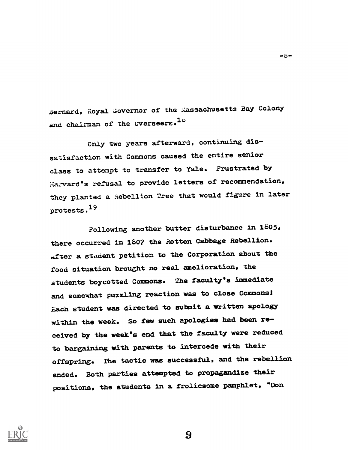Bernard, Royal Governor of the Massachusetts Bay Colony and chairman of the Overseers.<sup>1c</sup>

 $-5-$ 

Only two years afterward, continuing dissatisfaction with Commons caused the entire senior class to attempt to transfer to Yale. Frustrated by Harvard's refusal to provide letters of recommendation, they planted a Rebellion Tree that would figure in later protests.19

Following another butter disturbance in 1505, there occurred in 1807 the Rotten Cabbage Rebellion. tater a student petition to the Corporation about the food situation brought no real amelioration, the students boycotted Commons. The faculty's Immediate and somewhat puzzling reaction was to close Commons! Each student was directed to submit a written apology within the week. So few such apologies had been received by the week's end that the faculty were reduced to bargaining with parents to intercede with their offspring. The tactic was successful, and the rebellion ended. Both parties attempted to propagandize their positions, the students in a frolicsome pamphlet, "Don

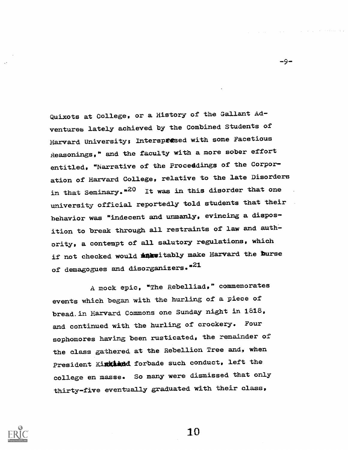Quixote at College, or a History of the Gallant Adventures lately achieved by the Combined Students of Harvard University; Interspresed with some Facetious Reasonings," and the faculty with a more sober effort entitled, "Narrative of the Proceddings of the Corporation of Harvard College, relative to the late Disorders in that Seminary.<sup>"20</sup> It was in this disorder that one university official reportedly told students that their behavior was "indecent and unmanly, evincing a disposition to break through all restraints of law and authority, a contempt of all salutory regulations, which if not checked would interitably make Harvard the burse of demagogues and disorganizers."<sup>21</sup>

A mock epic, "The Rebelliad," commemorates events which began with the hurling of a piece of bread,in Harvard Commons one Sunday night in 1618, and continued with the hurling of crockery. Four sophomores having been rusticated, the remainder of the class gathered at the Rebellion Tree and, when President Kinkland forbade such conduct, left the college en masse. So many were dismissed that only thirty-five eventually graduated with their class,



10

-9-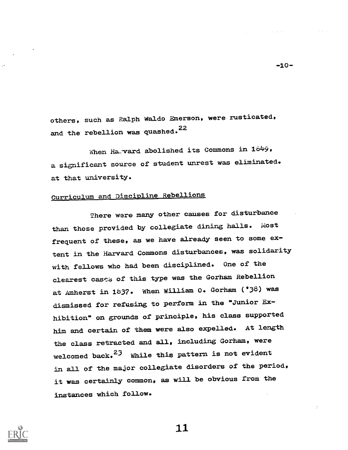others, such as Ralph Waldo Emerson, were rusticated, and the rebellion was quashed.<sup>22</sup>

When Haward abolished its Commons in 1849, a significant source of student unrest was eliminated. at that university.

# Gurriculum and Discipline Rebellions

There were many other causes for disturbance than those provided by collegiate dining halls. Most frequent of these, as we have already seen to some extent in the Harvard Commons disturbances, was solidarity with fellows who had been disciplined. One of the clearest cases of this type was the Gorham Rebellion at Amherst in 1837. When William O. Gorham ('38) was dismissed for refusing to perform in the "Junior Exhibition" on grounds of principle, his class supported him and certain of them were also expelled. At length the class retracted and all, including Gorham, were welcomed back. $23$  While this pattern is not evident in all of the major collegiate disorders of the period, it was certainly common, as will be obvious from the instances which follow.



11

 $-10-$ 

and the company of the state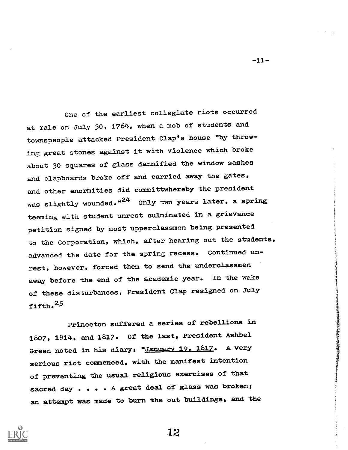One of the earliest collegiate riots occurred at Yale on July 30, 1764, when a mob of students and townspeople attacked President Clap's house "by throwing great stones against it with violence which broke about 30 squares of glass damnified the window sashes and clapboards broke off and carried away the gates, and other enormities did committwhereby the president was slightly wounded.<sup> $n24$ </sup> Only two years later, a spring teeming with student unrest culminated in a grievance petition signed by most upperclassmen being presented to the Corporation, which, after hearing out the students, advanced the date for the spring recess. Continued unrest, however, forced them to send the underclassmen away before the end of the academic year. In the wake of these disturbances, President Clap resigned on July fifth.<sup>25</sup>

Princeton suffered a series of rebellions in 1807, 1814, and 1817. Of the last, President Ashbel Green noted in his diary: "January 19. 1817. A very serious riot commenced, with the manifest intention of preventing the usual religious exercises of that sacred day . . . . A great deal of glass was broken; an attempt was made to burn the out buildings, and the



 $-11-$ 

STANDARD STANDARD STANDARD STANDARD STANDARD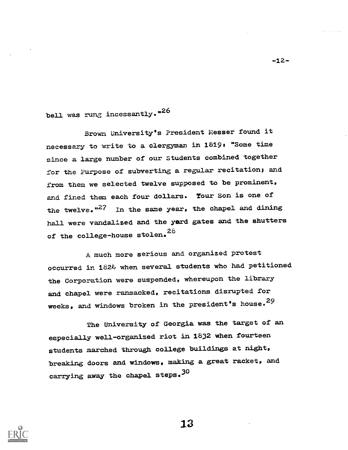bell was rung incessantly.<sup>\*26</sup>

Brown University's ?resident Messer found it necessary to write to a clergyman in 1819: "Some time since a large number of our Students combined together for the Purpose of subverting a regular recitation; and from them we selected twelve supposed to be prominent, and fined them each four dollars. Tour Son is one of the twelve.  $n^{27}$  In the same year, the chapel and dining hall were vandalized and the yard gates and the shutters of the college-house stolen. $^{28}$ 

A much more serious and organized protest occurred in 1824 when several students who had petitioned the Corporation were suspended, whereupon the library and chapel were ransacked, recitations disrupted for weeks, and windows broken in the president's house.<sup>29</sup>

The University of Georgia was the target of an especially well-organized riot in 1832 when fourteen students marched through college buildings at night, breaking doors and windows, making a great racket, and carrying away the chapel steps.<sup>30</sup>



13

-12-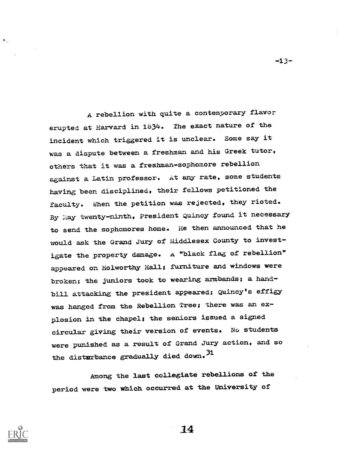A rebellion with quite a contemporary flavor erupted at Harvard in 1834. The exact nature of the incident which triggered it is unclear. Some say it was a dispute between a freshman and his Greek tutor, others that it was a freshman-sophomore rebellion against a Latin professor. At any rate, some students having been disciplined, their fellows petitioned the faculty. When the petition was rejected, they rioted. By May twenty-ninth, President Quincy found it necessary to send the sophomores home. He then announced that he would ask the Grand Jury of Middlesex County to investigate the property damage. A "black flag of rebellion" appeared on Holworthy Hall; furniture and windows were broken; the juniors took to wearing armbands; a handbill attacking the president appeared; Quincy's effigy was hanged from the Rebellion Tree; there was an explosion in the chapel; the seniors issued a signed circular giving their version of events. No students were punished as a result of Grand Jury action, and so the disturbance gradually died down.<sup>31</sup>

Among the last collegiate rebellions of the period were two which occurred at the University of



 $\blacktriangleright$  .

14

 $-13-$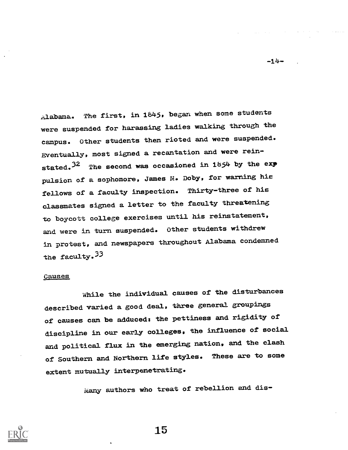Alabama. The first, in 1645, began when some students were suspended for harassing ladies walking through the campus. Other students then rioted and were suspended. Eventually, most signed a recantation and were reinstated.<sup>32</sup> The second was occasioned in 1854 by the exp pulsion of a sophomore, James M. Doby, for warning hie fellows of a faculty inspection. Thirty-three of his classmates signed a letter to the faculty threatening to boycott college exercises until his reinstatement, and were in turn suspended. Other students withdrew in protest, and newspapers throughout Alabama condemned the faculty.  $33$ 

#### Causes

While the individual causes of the disturbances described varied a good deal, three general groupings of causes can be adduced: the pettiness and rigidity of discipline in our early colleges, the influence of social and political flux in the emerging nation, and the clash of Southern and Northern life styles. These are to some extent mutually interpenetrating.

Many authors who treat of rebellion and dis-



15

 $-14-$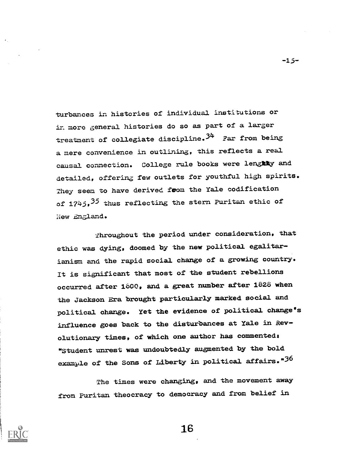turbances in histories of individual institutions or in more general histories do so as part of a larger treatment of collegiate discipline.<sup>34</sup> Far from being a mere convenience in outlining, this reflects a real causal connection. College rule books were lengthy and detailed, offering few outlets for youthful high spirits. They seem to have derived foom the Yale codification of 1745, 35 thus reflecting the stern Puritan ethic of New England.

Throughout the period under consideration, that ethic was dying, doomed by the new political egalitarianism and the rapid social change of a growing country. It is significant that most of the student rebellions occurred after 1600, and a great number after 1826 when the Jackson Era brought particularly marked social and political change. Yet the evidence of politieal change's influence goes baek to the disturbances at Yale in Revolutionary times, of which one author has commenteds "Student unrest was undoubtedly augmented by the bold example of the Sons of Liberty in political affairs."36

The times were changing, and the movement away from Puritan theocracy to democracy and from belief in



16

 $-15-$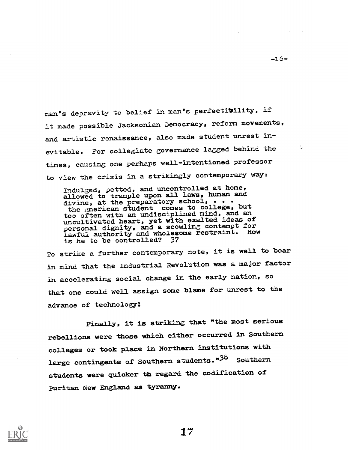man's depravity to belief in man's perfectibility, if it made possible Jacksonian Democracy, reform movements, and artistic renaissance, also made student unrest inevitable. For collegiate governance lagged behind the times, causing one perhaps well-intentioned professor to view the crisis in a strikingly contemporary way:

IndulGed, petted, and uncontrolled at home, allowed to trample upon all laws, human and divine, at the preparatory school, . . . the <u>American</u> student comes to college, but too often with an undisciplined mind, and an uncultivated heart, yet with exalted ideas of personal dignity, and a scowling contempt for lawful authority and wholesome restraint. How is he to be controlled?

To strike a further contemporary note, it is well to bear in mind that the Industrial Revolution was a major factor in accelerating social change In the early nation, so that one could well assign some blame for unrest to the advance of technology!

Finally, it is striking that "the most serious rebellions were those which either occurred in Southern colleges or took place In Northern institutions with large contingents of Southern students."38 Southern students were quicker th regard the codification of Puritan New England as tyranny.



-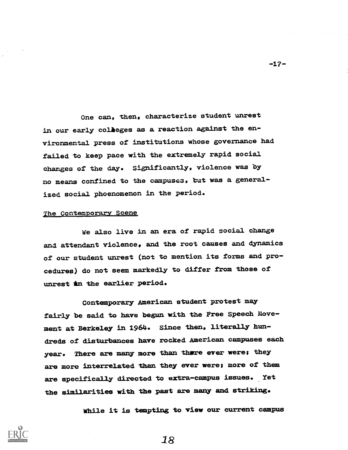One can, then, characterize student unrest in our early colleges as a reaction against the environmental press of institutions whose governance had failed to keep pace with the extremely rapid social changes of the day. Significantly, violence was by no means confined to the campusez, tut was a generalized social phoenomenon in the period.

#### The Contemporary Scene

we also live in an era of rapid social change and attendant violence, and the root causes and dynamics of our student unrest (not to mention its forms and procedures) do not seem markedly to differ from those of unrest in the earlier period.

Contemporary American student protest may fairly be said to have begun with the Free Speech Movement at Berkeley in 1964. Since then, literally hundreds of disturbances have rocked American campuses each year. There are many more than there ever were; they are more interrelated than they ever were; more of them are specifically directed to extra-campus issues. Yet the similarities with the past are many and striking.

While it is tempting to view our current campus



-17-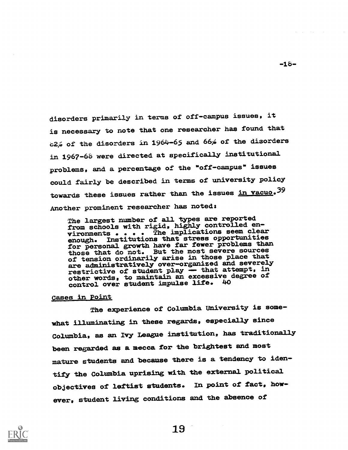disorders primarily in terms of off-campus issues, it is necessary to note that one researcher has found that  $c2\%$  of the disorders in 1964-65 and 66% of the disorders in 1967-66 were directed at specifically institutional problems, and a percentage of the "off-campus" issues could fairly be described in terms of university policy towards these issues rather than the issues in vacuo.<sup>39</sup> Another prominent researcher has noted:

The largest number of all types are reported from schools with rigid, highly controlled environments . . The implications seem clear enough. Institutions that stress opportunities for personal growth have far fewer problems than those that do not. But the most severe sources of tension ordinarily arise in those place that are administratively over-organized and severely restrictive of student play -- that attempt, in other words, to maintain an excessive degree of control over student impulse life. 40

#### Cases in Point

The experience of Columbia University is somewhat illuminating in these regards, especially since Columbia, as an Ivy League institution, has traditionally been regarded as a mecca for the brightest and most mature students and because there is a tendency to identify the Columbia uprising with the external political objectives of leftist students. In point of fact, however, student living conditions and the absence of



19

-16-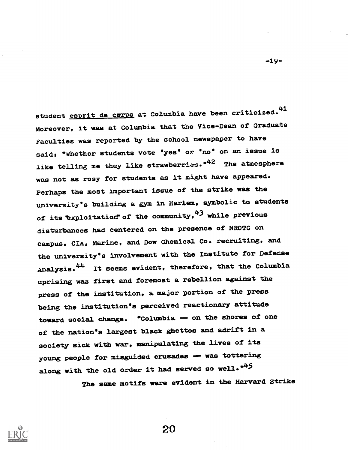student <u>esprit de corps</u> at Columbia have been criticized.<sup>41</sup> Moreover, it was at Columbia that the Vice-Dean of Graduate Faculties was reported by the school newspaper to have said: "Whether students vote 'yes' or 'no' on an issue is like telling me they like strawberries."<sup>42</sup> The atmosphere was not as rosy for students as it might have appeared. Perhaps the most important issue of the strike was the university's building a gym in Harlem, symbolic to students of its exploitation of the community,  $43$  while previous disturbances had centered on the presence of NROTC on campus, CIA, Marine, and Dow Chemical Co. recruiting, and the university's involvement with the Institute for Defense Analysis.<sup>44</sup> It seems evident, therefore, that the Columbia uprising was first and foremost a rebellion against the press of the institution, a major portion of the press being the institution's perceived reactionary attitude toward social change. "Columbia - on the shores of one of the nation's largest black ghettos and adrift in a society sick with war, manipulating the lives of its young people for misguided crusades -- was tottering along with the old order it had served so well. $"$ 

The same motifs were evident in the Harvard Strike



20

-19-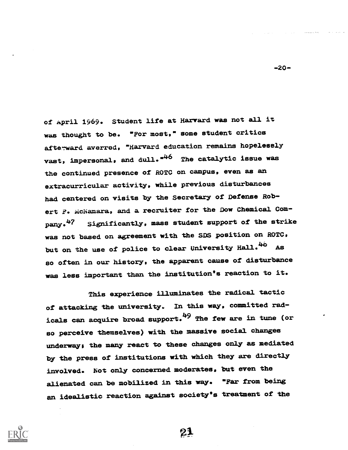of April 1969. Student life at Harvard was not all it was thought to be. "For most," some student critics afterward averred, "Harvard education remains hopelessly vast, impersonal, and dull.<sup>\*46</sup> The catalytic issue was the continued presence of ROTC on campus, even as an extracurricular activity, while previous disturbances had centered on visits by the Secretary of Defense Robert F. McNamara, and a recruiter for the Dow Chemical Company.47 Significantly, mass student support of the strike was not based on agreement with the SDS position on ROTC, but on the use of police to clear University Hall.<sup>46</sup> As so often in our history, the apparent cause of disturbance was less important than the institution's reaction to it.

This experience illuminates the radical tactic of attacking the university. In this way, committed radicals can acquire broad support.<sup>49</sup> The few are in tune (or so perceive themselves) with the massive social changes underway; the many react to these changes only as mediated by the press of institutions with which they are directly involved. Not only concerned moderates, but even the alienated can be mobilized in this way. "Far from being an idealistic reaction against society's treatment of the



-20-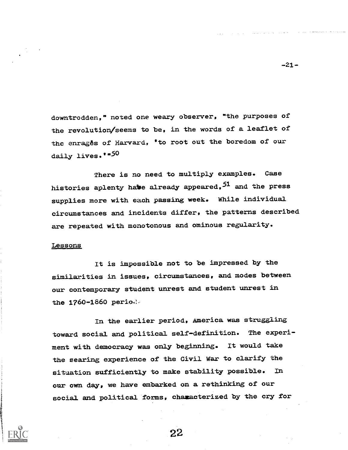downtrodden," noted one weary observer, "the purposes of the revolution/seems to be, In the words of a leaflet of the enrages of Harvard, 'to root out the boredom of our daily lives. "50

There is no need to multiply examples. Case histories aplenty habe already appeared, 51 and the press supplies more with each passing week. While Individual circumstances and incidents differ, the patterns described are repeated with monotonous and ominous regularity.

#### Lessons

It is impossible not to be impressed by the similarities in issues, circumstances, and modes between our contemporary student unrest and student unrest in the  $1760 - 1860$  period.

In the earlier period, America was struggling toward social and political self-definition. The experiment with democracy was only beginning. It would take the searing experience of the Civil War to clarify the situation sufficiently to make stability possible. In our own day, we have embarked on a rethinking of our social and political forms, characterized by the cry for

22

 $-21-$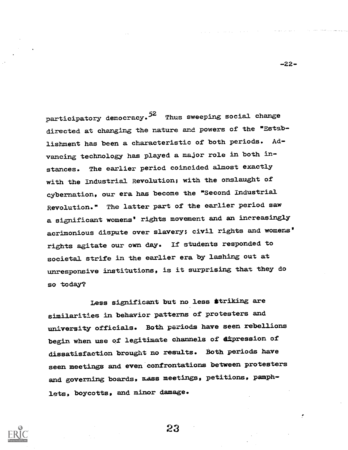participatory democracy.<sup>52</sup> Thus sweeping social change directed at changing the nature and powers of the "Establishment has been a characteristic of both periods. Advancing technology has played a major role in both instances. The earlier period coincided almost exactly with the Industrial Revolution; with the onslaught of cybernation, our era has become the "Second Industrial Revolution." The latter part of the earlier period saw a significant womens' rights movement and an increasingly acrimonious dispute over slavery: civil rights and womens' rights agitate our own day. If students responded to societal strife in the earlier era by lashing out at unresponsive institutions, is it surprising that they do so today?

Less significant but no less striking are similarities in behavior patterns of protesters and university officials. Both periods have seen rebellions begin when use of legitimate channels of dipression of dissatisfaction brought no results. Both periods have seen meetings and even confrontations between protesters and governing boards, mass meetings, petitions, pamphlets, boycotts, and minor damage.

23



-22-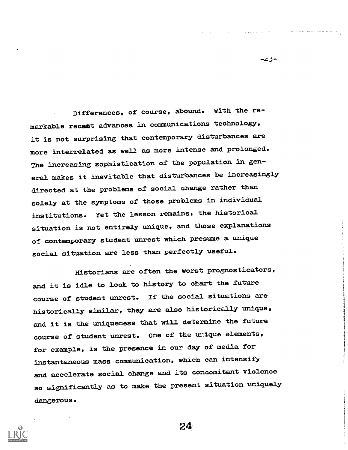Differences, of course, abound. With the remarkable recant advances in communications technology, it is not surprising that contemporary disturbances are more interrelated as well as more intense and prolonged. The increasing sophistication of the population in general makes it inevitable that disturbances be increasingly directed at the problems of social change rather than solely at the symptoms of those problems in individual institutions. Yet the lesson remains: the historical situation is not entirely unique, and those explanations of contemporary student unrest which presume a unique social situation are less than perfectly useful.

-ذخ-

Historians are often the worst prognosticators, and it is idle to look to history to chart the future course of student unrest. If the social situations are historically similar, they are also historically unique, and it is the uniqueness that will determine the future course of student unrest. One of the unique elements, for example, is the presence in our day of media for instantaneous mass communication, which can intensify and accelerate social change and its concomitant violence so significantly as to make the present situation uniquely dangerous.

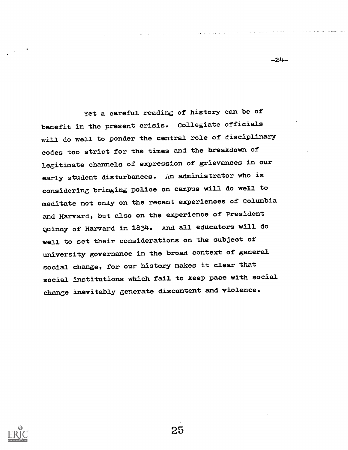yet a careful reading of history can be of benefit in the present crisis. Collegiate officials will do well to ponder the central role of disciplinary codes too strict for the times and the breakdown of legitimate channels of expression of grievances in our early student disturbances. An administrator who is considering bringing police on campus will do well to meditate not only on the recent experiences of Columbia and Harvard, but also on the experience of President Quincy of Harvard in 1834. And all educators will do well to set their considerations on the subject of university governance in the broad context of general social change, for our history makes it clear that social institutions which fall to keep pace with social change Inevitably generate discontent and violence.



25

-24-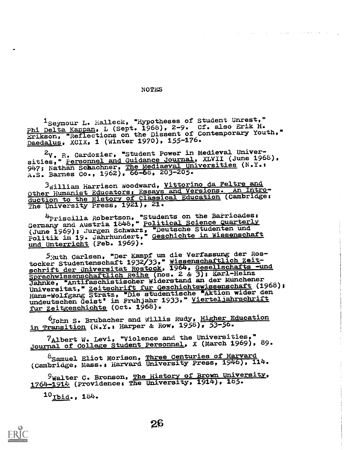#### NOTES

. The contract of the contract of the contract of the contract of the contract of  $\mathbf{A}$ 

1Seymour L. Halleck, "Hypotheses of Student Unrest," Phi Delta Kappan, L (Sept. 1968), 2-9. Cf. also Erik H. Erikson, "Reflections on the Dissent of Contemporary Youth," Daedalus, XCIX, 1 (Winter 1970), 155-176.

2V. R. Cardozier, "Student Power in Medieval Universities," Personnel and Guidance Journal, XLVII (June 1968), 947; Nathan Schachner, The Mediaeval Universities (N.Y.: A.S. Barnes Co., 1962), 66-68, 203-205.

 $3$ William Harrison Woodward, Vittorino da Feltre and Other Humanist Educators: Essays and Versions. An Introduction to the History of Classical Education (Cambridge: The University Press, 1921), 21.

4Priscilla Robertson, "Students on the Barricades: Germany and Austria 1848," Political Science Quarterly (June 1969); Jurgen Schwarz, "Deutsche Studenten und Politik im 19. Jahrhundert," Geschichte in Wissenschaft und Unterricht (Feb. 1969).

5 zuth Carlsen, "Der Kampf um die Verfassung der Rostocker Studentenschaft 1932/33," Wissenschaftlich Zeitschrift der Universitat Rostock, 1964, Gesellschafts -und Sprachwissenschaftlich Reihe (nos. 2 & 3); Karl-Heinz Jahnke, "Antifaschistischer Widerstand an der Munchener Universitat," Zeitschrift für Geschichtswissenschaft (1968); Hans-Wolfgang Stratz, "Die studentische Aktion wider den undeutschen Geist' im Fruhjahr 1933." Vierteljahrschrift fur Zeitgeschichte (Oct. 1968).

bJohn S. Brubacher and Willis Rudy, Higher Education In Transition (N.Y.: Harper & Row, 1958), 53-56.

7Albert W. Levi, "'Violence and the Universities." Journal of College Student Personnel, X (March 1969), 89.

 $^8$ Samuel Eliot Morison, Three Centuries of Harvard (Cambridge, Mass., Harvard University Press, 1946), 114.

9Walter C. Bronson, The History of Brown University, 1764-1914 (Providence: The University, 1914), 185.

 $^{10}$ Ibid., 184.

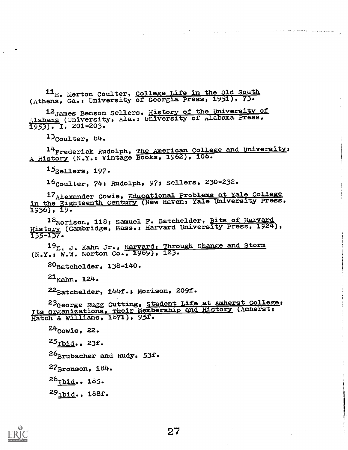$^{11}$ E. Merton Coulter, College Life in the Old South (Athens, Ga.: University of Georgia Press, 1951), 73.

12 James Benson Sellers, History of the University of Alabama (University, Ala.: University of Alabama Press,  $\overline{1953}$ , I, 201-203.

 $13$ Coulter,  $84$ .

 $14$ Frederick Rudolph, <u>The American College and University</u>:  $_{\rm A}$  History (N.Y.: Vintage Books, 1962), 106.

 $15$ Sellers, 197.

16<sub>Coulter, 74; Rudolph, 97; Sellers, 230-232.</sub>

17<sub>Alexander</sub> Cowie, Educational Problems at Yale College in the Eighteenth Century (New Haven: Yale University Press, 1936), 19.

Morison, 118; Samuel F. Batchelder, Bits of Harvard History (Cambridge, Mass.: Harvard University Press, 1924), 135-137.

19<sub>E. J.</sub> Kahn Jr., <u>Harvard: Through Change and Storm</u> (N.Y.: W.W. Norton Co., 1969), 123.

 $20$ Batchelder, 138-140.

 $21_{Kahn, 124.}$ 

22Batchelder, 144f.; Morison, 209f.

23<sub>George</sub> Rugg Cutting, Student Life at Amherst College: Its Organizations, Their Membership and History (Amherst: Hatch & Williams, 1871), 95f.

 $24$ Cowie, 22.

 $25$ Tbid., 23f.

 $26$ Brubacher and Rudy. 53f.

 $27_{\text{Bronson}}$ ,  $184$ .

 $^{28}$ Ibid., 185.

 $29$ Ibid., 188f.